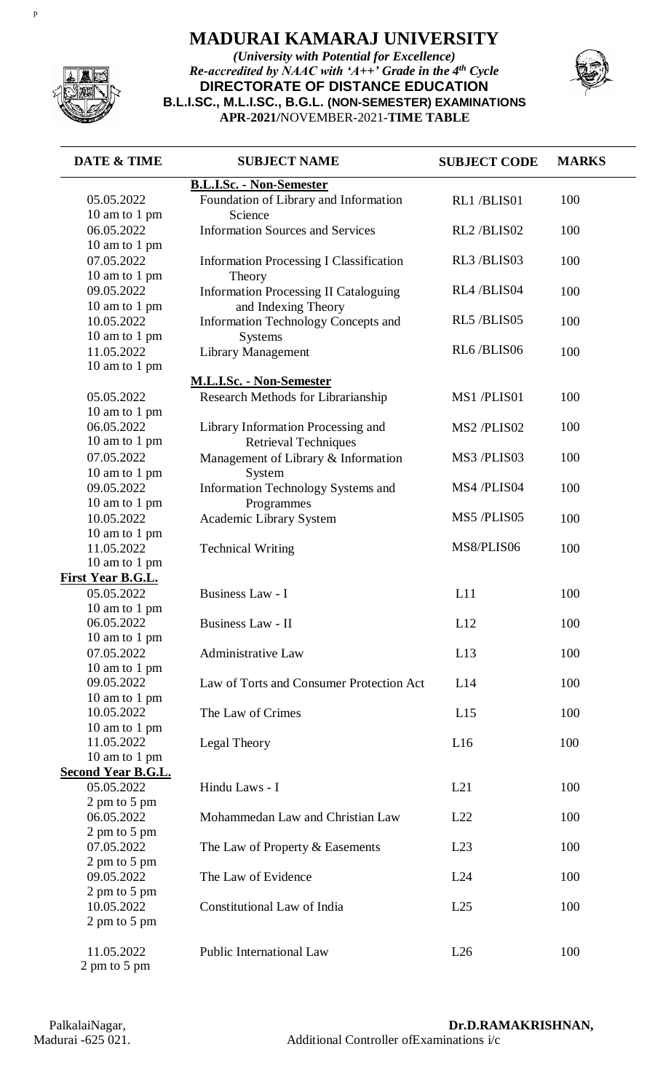

p

## **MADURAI KAMARAJ UNIVERSITY**

*(University with Potential for Excellence) Re-accredited by NAAC with 'A++' Grade in the 4th Cycle* **DIRECTORATE OF DISTANCE EDUCATION B.L.I.SC., M.L.I.SC., B.G.L. (NON-SEMESTER) EXAMINATIONS APR**-**2021/**NOVEMBER-2021-**TIME TABLE**



| <b>DATE &amp; TIME</b>    | <b>SUBJECT NAME</b>                            | <b>SUBJECT CODE</b> | <b>MARKS</b> |
|---------------------------|------------------------------------------------|---------------------|--------------|
|                           | <b>B.L.I.Sc. - Non-Semester</b>                |                     |              |
| 05.05.2022                | Foundation of Library and Information          | RL1/BLIS01          | 100          |
| 10 am to 1 pm             | Science                                        |                     |              |
| 06.05.2022                | <b>Information Sources and Services</b>        | RL2/BLIS02          | 100          |
| 10 am to 1 pm             |                                                |                     |              |
| 07.05.2022                | <b>Information Processing I Classification</b> | RL3 /BLIS03         | 100          |
| 10 am to 1 pm             | Theory                                         |                     |              |
| 09.05.2022                | <b>Information Processing II Cataloguing</b>   | RL4 /BLIS04         | 100          |
| 10 am to 1 pm             | and Indexing Theory                            |                     |              |
| 10.05.2022                | Information Technology Concepts and            | RL5 /BLIS05         | 100          |
| 10 am to 1 pm             | Systems                                        |                     |              |
| 11.05.2022                | Library Management                             | RL6/BLIS06          | 100          |
| 10 am to 1 pm             |                                                |                     |              |
|                           | <b>M.L.I.Sc. - Non-Semester</b>                |                     |              |
| 05.05.2022                | Research Methods for Librarianship             | MS1 /PLIS01         | 100          |
| 10 am to 1 pm             |                                                |                     |              |
| 06.05.2022                | Library Information Processing and             | MS2 /PLIS02         | 100          |
| 10 am to 1 pm             |                                                |                     |              |
|                           | <b>Retrieval Techniques</b>                    | MS3 /PLIS03         |              |
| 07.05.2022                | Management of Library & Information            |                     | 100          |
| 10 am to 1 pm             | System                                         |                     |              |
| 09.05.2022                | Information Technology Systems and             | MS4 /PLIS04         | 100          |
| 10 am to 1 pm             | Programmes                                     |                     |              |
| 10.05.2022                | Academic Library System                        | MS5 /PLIS05         | 100          |
| 10 am to 1 pm             |                                                |                     |              |
| 11.05.2022                | <b>Technical Writing</b>                       | MS8/PLIS06          | 100          |
| 10 am to 1 pm             |                                                |                     |              |
| <b>First Year B.G.L.</b>  |                                                |                     |              |
| 05.05.2022                | Business Law - I                               | L11                 | 100          |
| 10 am to 1 pm             |                                                |                     |              |
| 06.05.2022                | <b>Business Law - II</b>                       | L12                 | 100          |
| 10 am to 1 pm             |                                                |                     |              |
| 07.05.2022                | <b>Administrative Law</b>                      | L13                 | 100          |
| 10 am to 1 pm             |                                                |                     |              |
| 09.05.2022                | Law of Torts and Consumer Protection Act       | L14                 | 100          |
| 10 am to 1 pm             |                                                |                     |              |
| 10.05.2022                | The Law of Crimes                              | L15                 | 100          |
| 10 am to 1 pm             |                                                |                     |              |
| 11.05.2022                | Legal Theory                                   | L16                 | 100          |
| 10 am to 1 pm             |                                                |                     |              |
| <b>Second Year B.G.L.</b> |                                                |                     |              |
| 05.05.2022                | Hindu Laws - I                                 | L21                 | 100          |
| 2 pm to 5 pm              |                                                |                     |              |
| 06.05.2022                | Mohammedan Law and Christian Law               | L22                 | 100          |
| 2 pm to 5 pm              |                                                |                     |              |
| 07.05.2022                | The Law of Property & Easements                | L23                 | 100          |
| 2 pm to 5 pm              |                                                |                     |              |
| 09.05.2022                | The Law of Evidence                            | L24                 | 100          |
| 2 pm to 5 pm              |                                                |                     |              |
| 10.05.2022                | Constitutional Law of India                    | L25                 | 100          |
| 2 pm to 5 pm              |                                                |                     |              |
|                           |                                                |                     |              |
| 11.05.2022                | <b>Public International Law</b>                | L26                 | 100          |
| 2 pm to 5 pm              |                                                |                     |              |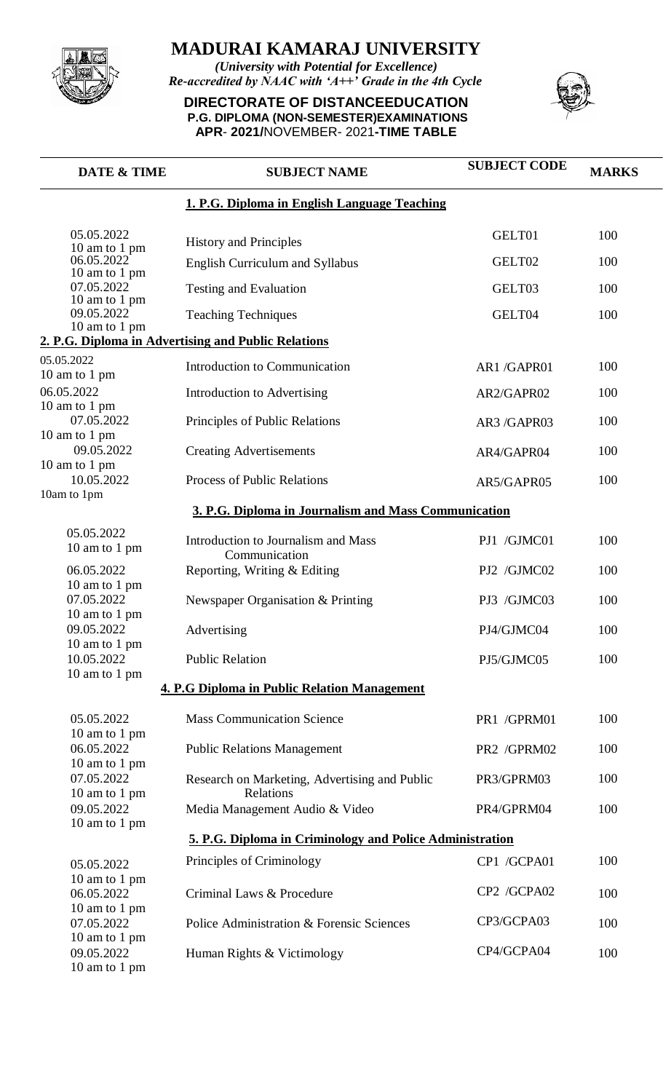

*(University with Potential for Excellence) Re-accredited by NAAC with 'A++' Grade in the 4th Cycle*

**DIRECTORATE OF DISTANCEEDUCATION P.G. DIPLOMA (NON-SEMESTER)EXAMINATIONS APR**- **2021/**NOVEMBER- 2021**-TIME TABLE**



| 1. P.G. Diploma in English Language Teaching<br>05.05.2022<br>GELT01<br><b>History and Principles</b><br>10 am to 1 pm<br>06.05.2022<br>GELT02<br><b>English Curriculum and Syllabus</b><br>10 am to 1 pm<br>07.05.2022<br>GELT03<br><b>Testing and Evaluation</b><br>10 am to 1 pm<br>09.05.2022<br>GELT04<br><b>Teaching Techniques</b><br>10 am to 1 pm<br>2. P.G. Diploma in Advertising and Public Relations<br>05.05.2022<br>Introduction to Communication<br>AR1/GAPR01<br>10 am to 1 pm<br>06.05.2022<br>Introduction to Advertising<br>AR2/GAPR02<br>10 am to 1 pm<br>07.05.2022<br>Principles of Public Relations<br>AR3 /GAPR03 | <b>MARKS</b> |
|--------------------------------------------------------------------------------------------------------------------------------------------------------------------------------------------------------------------------------------------------------------------------------------------------------------------------------------------------------------------------------------------------------------------------------------------------------------------------------------------------------------------------------------------------------------------------------------------------------------------------------------------|--------------|
|                                                                                                                                                                                                                                                                                                                                                                                                                                                                                                                                                                                                                                            |              |
|                                                                                                                                                                                                                                                                                                                                                                                                                                                                                                                                                                                                                                            | 100          |
|                                                                                                                                                                                                                                                                                                                                                                                                                                                                                                                                                                                                                                            | 100          |
|                                                                                                                                                                                                                                                                                                                                                                                                                                                                                                                                                                                                                                            | 100          |
|                                                                                                                                                                                                                                                                                                                                                                                                                                                                                                                                                                                                                                            | 100          |
|                                                                                                                                                                                                                                                                                                                                                                                                                                                                                                                                                                                                                                            |              |
|                                                                                                                                                                                                                                                                                                                                                                                                                                                                                                                                                                                                                                            |              |
|                                                                                                                                                                                                                                                                                                                                                                                                                                                                                                                                                                                                                                            | 100          |
|                                                                                                                                                                                                                                                                                                                                                                                                                                                                                                                                                                                                                                            | 100          |
|                                                                                                                                                                                                                                                                                                                                                                                                                                                                                                                                                                                                                                            | 100          |
| 10 am to 1 pm<br>09.05.2022<br><b>Creating Advertisements</b><br>AR4/GAPR04                                                                                                                                                                                                                                                                                                                                                                                                                                                                                                                                                                | 100          |
| 10 am to 1 pm<br>10.05.2022<br><b>Process of Public Relations</b><br>AR5/GAPR05                                                                                                                                                                                                                                                                                                                                                                                                                                                                                                                                                            | 100          |
| 10am to 1pm<br>3. P.G. Diploma in Journalism and Mass Communication                                                                                                                                                                                                                                                                                                                                                                                                                                                                                                                                                                        |              |
| 05.05.2022<br>Introduction to Journalism and Mass<br>PJ1 /GJMC01<br>10 am to 1 pm<br>Communication                                                                                                                                                                                                                                                                                                                                                                                                                                                                                                                                         | 100          |
| 06.05.2022<br>PJ2 /GJMC02<br>Reporting, Writing & Editing                                                                                                                                                                                                                                                                                                                                                                                                                                                                                                                                                                                  | 100          |
| 10 am to 1 pm<br>07.05.2022<br>Newspaper Organisation & Printing<br>PJ3 /GJMC03                                                                                                                                                                                                                                                                                                                                                                                                                                                                                                                                                            | 100          |
| 10 am to 1 pm<br>09.05.2022<br>Advertising<br>PJ4/GJMC04                                                                                                                                                                                                                                                                                                                                                                                                                                                                                                                                                                                   | 100          |
| 10 am to 1 pm<br>10.05.2022<br><b>Public Relation</b><br>PJ5/GJMC05                                                                                                                                                                                                                                                                                                                                                                                                                                                                                                                                                                        | 100          |
| 10 am to 1 pm                                                                                                                                                                                                                                                                                                                                                                                                                                                                                                                                                                                                                              |              |
| 4. P.G Diploma in Public Relation Management                                                                                                                                                                                                                                                                                                                                                                                                                                                                                                                                                                                               |              |
| <b>Mass Communication Science</b><br>05.05.2022<br>PR1 /GPRM01                                                                                                                                                                                                                                                                                                                                                                                                                                                                                                                                                                             | 100          |
| 10 am to 1 pm<br>06.05.2022<br>PR2 /GPRM02<br><b>Public Relations Management</b>                                                                                                                                                                                                                                                                                                                                                                                                                                                                                                                                                           | 100          |
| 10 am to 1 pm<br>07.05.2022<br>Research on Marketing, Advertising and Public<br>PR3/GPRM03                                                                                                                                                                                                                                                                                                                                                                                                                                                                                                                                                 | 100          |
| 10 am to 1 pm<br>Relations<br>09.05.2022<br>Media Management Audio & Video<br>PR4/GPRM04                                                                                                                                                                                                                                                                                                                                                                                                                                                                                                                                                   | 100          |
| 10 am to 1 pm<br><u>5. P.G. Diploma in Criminology and Police Administration</u>                                                                                                                                                                                                                                                                                                                                                                                                                                                                                                                                                           |              |
|                                                                                                                                                                                                                                                                                                                                                                                                                                                                                                                                                                                                                                            |              |
| Principles of Criminology<br>CP1 /GCPA01<br>05.05.2022<br>10 am to 1 pm                                                                                                                                                                                                                                                                                                                                                                                                                                                                                                                                                                    | 100          |
| CP2 /GCPA02<br>06.05.2022<br>Criminal Laws & Procedure                                                                                                                                                                                                                                                                                                                                                                                                                                                                                                                                                                                     | 100          |
| 10 am to 1 pm<br>CP3/GCPA03<br>07.05.2022<br>Police Administration & Forensic Sciences                                                                                                                                                                                                                                                                                                                                                                                                                                                                                                                                                     | 100          |
| 10 am to 1 pm<br>CP4/GCPA04<br>09.05.2022<br>Human Rights & Victimology<br>10 am to 1 pm                                                                                                                                                                                                                                                                                                                                                                                                                                                                                                                                                   | 100          |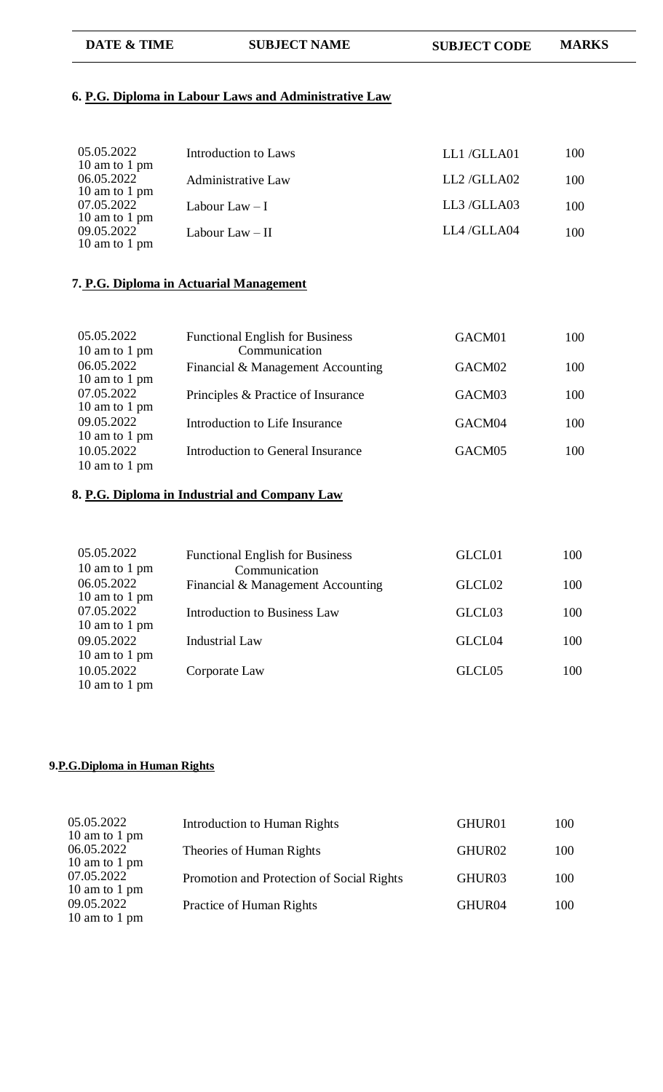**DATE & TIME SUBJECT NAME SUBJECT CODE MARKS**

### **6. P.G. Diploma in Labour Laws and Administrative Law**

| 05.05.2022<br>10 am to 1 pm                  | Introduction to Laws      | LL1/GLLA01 | 100 |
|----------------------------------------------|---------------------------|------------|-----|
| 06.05.2022<br>10 am to 1 pm                  | <b>Administrative Law</b> | LL2/GLLA02 | 100 |
| 07.05.2022                                   | Labour Law $-1$           | LL3/GLLA03 | 100 |
| 10 am to 1 pm<br>09.05.2022<br>10 am to 1 pm | Labour Law $-$ II         | LL4/GLLA04 | 100 |

#### **7. P.G. Diploma in Actuarial Management**

| 05.05.2022<br>10 am to 1 pm | <b>Functional English for Business</b><br>Communication | GACM01             | 100 |
|-----------------------------|---------------------------------------------------------|--------------------|-----|
| 06.05.2022<br>10 am to 1 pm | Financial & Management Accounting                       | GACM02             | 100 |
| 07.05.2022<br>10 am to 1 pm | Principles & Practice of Insurance                      | GACM03             | 100 |
| 09.05.2022<br>10 am to 1 pm | Introduction to Life Insurance                          | GACM04             | 100 |
| 10.05.2022<br>10 am to 1 pm | Introduction to General Insurance                       | GACM <sub>05</sub> | 100 |

### **8. P.G. Diploma in Industrial and Company Law**

| 05.05.2022<br>10 am to 1 pm | <b>Functional English for Business</b><br>Communication | GLCL01             | 100 |
|-----------------------------|---------------------------------------------------------|--------------------|-----|
| 06.05.2022<br>10 am to 1 pm | Financial & Management Accounting                       | GLCL <sub>02</sub> | 100 |
| 07.05.2022<br>10 am to 1 pm | <b>Introduction to Business Law</b>                     | GLCL <sub>03</sub> | 100 |
| 09.05.2022<br>10 am to 1 pm | <b>Industrial Law</b>                                   | GLCL04             | 100 |
| 10.05.2022<br>10 am to 1 pm | Corporate Law                                           | GLCL <sub>05</sub> | 100 |

#### **9.P.G.Diploma in Human Rights**

| 05.05.2022<br>10 am to 1 pm | Introduction to Human Rights              | GHUR01             | 100 |
|-----------------------------|-------------------------------------------|--------------------|-----|
| 06.05.2022<br>10 am to 1 pm | Theories of Human Rights                  | GHUR02             | 100 |
| 07.05.2022<br>10 am to 1 pm | Promotion and Protection of Social Rights | GHUR <sub>03</sub> | 100 |
| 09.05.2022<br>10 am to 1 pm | Practice of Human Rights                  | GHUR04             | 100 |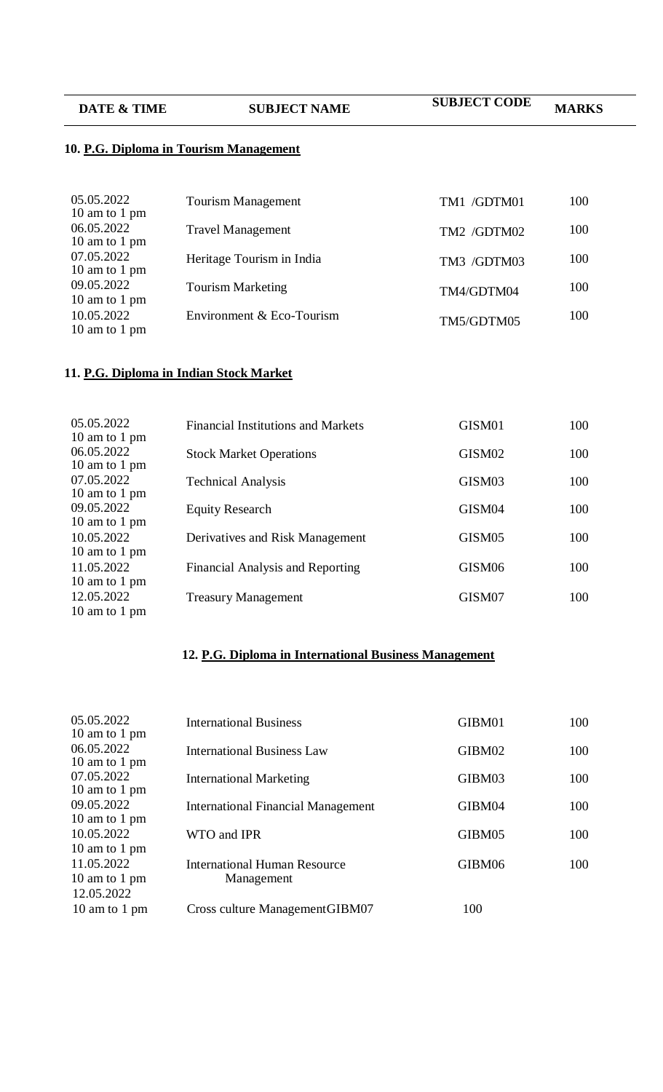| <b>DATE &amp; TIME</b>                 | <b>SUBJECT NAME</b> | <b>SUBJECT CODE</b> | <b>MARKS</b> |
|----------------------------------------|---------------------|---------------------|--------------|
| 10. P.G. Diploma in Tourism Management |                     |                     |              |

| 05.05.2022<br>10 am to 1 pm | <b>Tourism Management</b> | TM1 /GDTM01 | 100 |
|-----------------------------|---------------------------|-------------|-----|
| 06.05.2022<br>10 am to 1 pm | <b>Travel Management</b>  | TM2 /GDTM02 | 100 |
| 07.05.2022<br>10 am to 1 pm | Heritage Tourism in India | TM3 /GDTM03 | 100 |
| 09.05.2022<br>10 am to 1 pm | <b>Tourism Marketing</b>  | TM4/GDTM04  | 100 |
| 10.05.2022<br>10 am to 1 pm | Environment & Eco-Tourism | TM5/GDTM05  | 100 |

### **11. P.G. Diploma in Indian Stock Market**

| 05.05.2022<br>10 am to 1 pm | <b>Financial Institutions and Markets</b> | GISM01             | 100 |
|-----------------------------|-------------------------------------------|--------------------|-----|
| 06.05.2022                  | <b>Stock Market Operations</b>            | GISM02             | 100 |
| 10 am to 1 pm<br>07.05.2022 | <b>Technical Analysis</b>                 | GISM03             | 100 |
| 10 am to 1 pm               |                                           |                    |     |
| 09.05.2022<br>10 am to 1 pm | <b>Equity Research</b>                    | GISM04             | 100 |
| 10.05.2022                  | Derivatives and Risk Management           | GISM <sub>05</sub> | 100 |
| 10 am to 1 pm<br>11.05.2022 | Financial Analysis and Reporting          | GISM06             | 100 |
| 10 am to 1 pm               |                                           |                    |     |
| 12.05.2022<br>10 am to 1 pm | <b>Treasury Management</b>                | GISM07             | 100 |
|                             |                                           |                    |     |

## **12. P.G. Diploma in International Business Management**

| 05.05.2022<br>10 am to 1 pm                  | <b>International Business</b>                     | GIBM01 | 100 |
|----------------------------------------------|---------------------------------------------------|--------|-----|
| 06.05.2022<br>10 am to 1 pm                  | <b>International Business Law</b>                 | GIBM02 | 100 |
| 07.05.2022<br>10 am to 1 pm                  | <b>International Marketing</b>                    | GIBM03 | 100 |
| 09.05.2022                                   | <b>International Financial Management</b>         | GIBM04 | 100 |
| 10 am to 1 pm<br>10.05.2022                  | WTO and IPR                                       | GIBM05 | 100 |
| 10 am to 1 pm<br>11.05.2022<br>10 am to 1 pm | <b>International Human Resource</b><br>Management | GIBM06 | 100 |
| 12.05.2022<br>10 am to 1 pm                  | Cross culture Management GIBM07                   | 100    |     |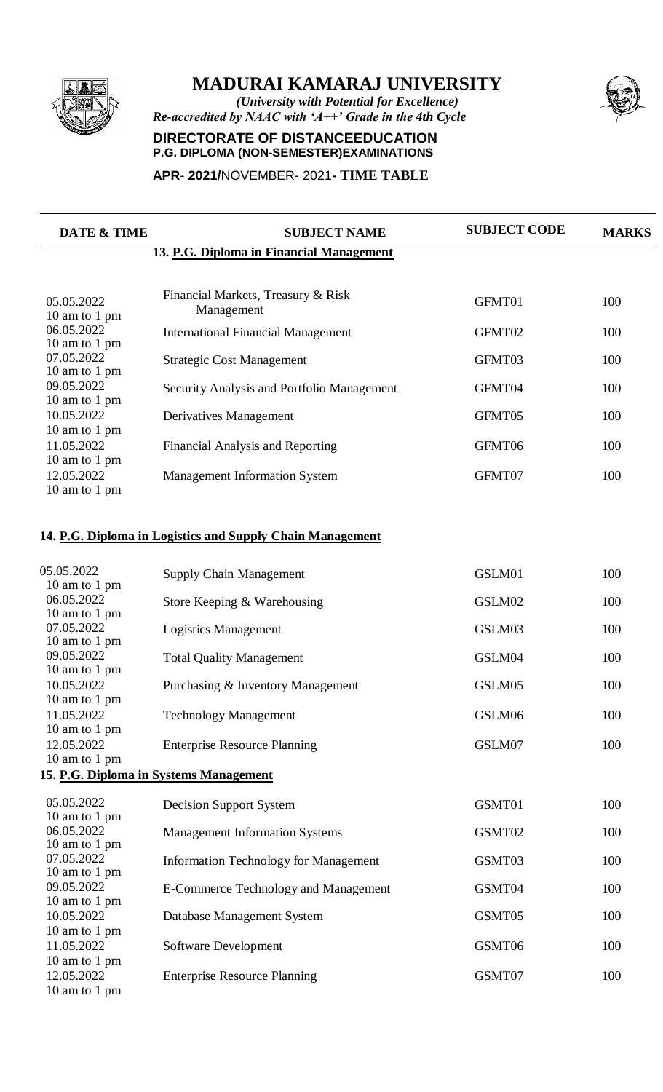

*(University with Potential for Excellence) Re-accredited by NAAC with 'A++' Grade in the 4th Cycle*

#### **DIRECTORATE OF DISTANCEEDUCATION P.G. DIPLOMA (NON-SEMESTER)EXAMINATIONS**

#### **APR**- **2021/**NOVEMBER- 2021**- TIME TABLE**

| DATE & TIME                                  | <b>SUBJECT NAME</b>                              | <b>SUBJECT CODE</b> | <b>MARKS</b> |
|----------------------------------------------|--------------------------------------------------|---------------------|--------------|
|                                              | 13. P.G. Diploma in Financial Management         |                     |              |
| 05.05.2022<br>10 am to 1 pm                  | Financial Markets, Treasury & Risk<br>Management | GFMT01              | 100          |
| 06.05.2022                                   | <b>International Financial Management</b>        | GFMT02              | 100          |
| 10 am to 1 pm<br>07.05.2022<br>10 am to 1 pm | <b>Strategic Cost Management</b>                 | GFMT03              | 100          |
| 09.05.2022<br>10 am to 1 pm                  | Security Analysis and Portfolio Management       | GFMT04              | 100          |
| 10.05.2022<br>10 am to 1 pm                  | Derivatives Management                           | GFMT05              | 100          |
| 11.05.2022<br>10 am to 1 pm                  | <b>Financial Analysis and Reporting</b>          | GFMT06              | 100          |
| 12.05.2022<br>10 am to 1 pm                  | <b>Management Information System</b>             | GFMT07              | 100          |
|                                              |                                                  |                     |              |

### **14. P.G. Diploma in Logistics and Supply Chain Management**

| 05.05.2022<br>10 am to 1 pm | <b>Supply Chain Management</b>               | GSLM01 | 100 |
|-----------------------------|----------------------------------------------|--------|-----|
| 06.05.2022                  | Store Keeping & Warehousing                  | GSLM02 | 100 |
| 10 am to 1 pm<br>07.05.2022 | <b>Logistics Management</b>                  | GSLM03 | 100 |
| 10 am to 1 pm<br>09.05.2022 | <b>Total Quality Management</b>              | GSLM04 | 100 |
| 10 am to 1 pm<br>10.05.2022 | Purchasing & Inventory Management            | GSLM05 | 100 |
| 10 am to 1 pm<br>11.05.2022 | <b>Technology Management</b>                 | GSLM06 | 100 |
| 10 am to 1 pm<br>12.05.2022 | <b>Enterprise Resource Planning</b>          | GSLM07 | 100 |
| 10 am to 1 pm               | 15. P.G. Diploma in Systems Management       |        |     |
|                             |                                              |        |     |
| 05.05.2022                  | <b>Decision Support System</b>               | GSMT01 | 100 |
| 10 am to 1 pm<br>06.05.2022 | <b>Management Information Systems</b>        | GSMT02 | 100 |
| 10 am to 1 pm<br>07.05.2022 | <b>Information Technology for Management</b> | GSMT03 | 100 |
| 10 am to 1 pm<br>09.05.2022 | <b>E-Commerce Technology and Management</b>  | GSMT04 | 100 |
| 10 am to 1 pm<br>10.05.2022 |                                              | GSMT05 |     |
| 10 am to 1 pm               | Database Management System                   |        | 100 |
| 11.05.2022<br>10 am to 1 pm | Software Development                         | GSMT06 | 100 |
| 12.05.2022                  | <b>Enterprise Resource Planning</b>          | GSMT07 | 100 |
| 10 am to 1 pm               |                                              |        |     |

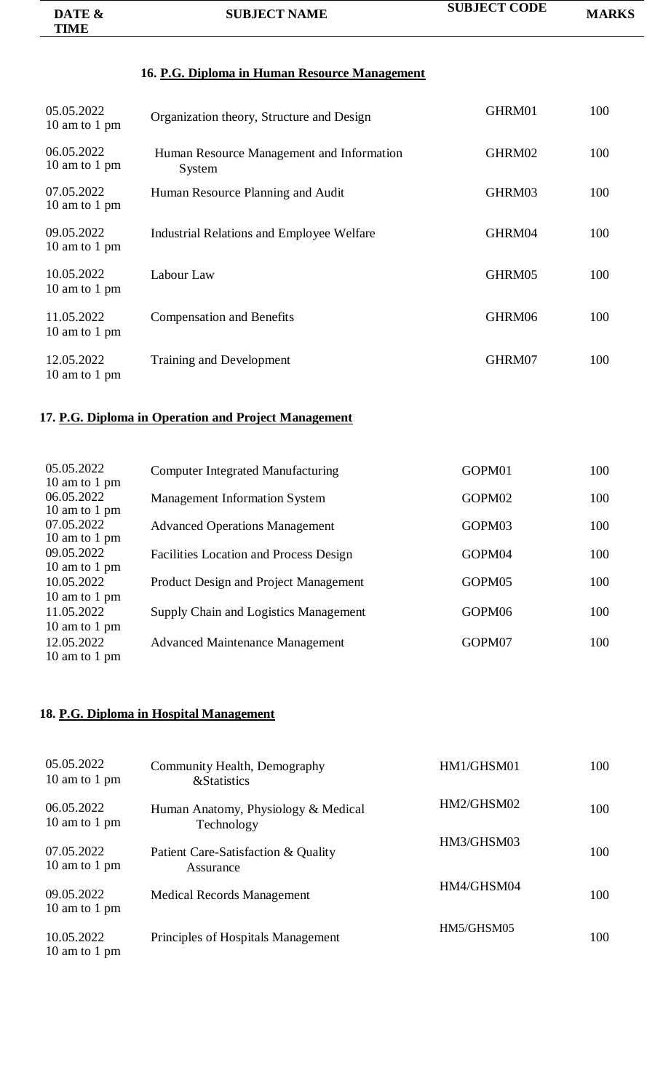| DATE &      | <b>SUBJECT NAME</b> | <b>SUBJECT CODE</b> | <b>MARKS</b> |
|-------------|---------------------|---------------------|--------------|
| <b>TIME</b> |                     |                     |              |

# **16. P.G. Diploma in Human Resource Management**

| 05.05.2022<br>10 am to 1 pm | Organization theory, Structure and Design           | GHRM01 | 100 |
|-----------------------------|-----------------------------------------------------|--------|-----|
| 06.05.2022<br>10 am to 1 pm | Human Resource Management and Information<br>System | GHRM02 | 100 |
| 07.05.2022<br>10 am to 1 pm | Human Resource Planning and Audit                   | GHRM03 | 100 |
| 09.05.2022<br>10 am to 1 pm | <b>Industrial Relations and Employee Welfare</b>    | GHRM04 | 100 |
| 10.05.2022<br>10 am to 1 pm | Labour Law                                          | GHRM05 | 100 |
| 11.05.2022<br>10 am to 1 pm | <b>Compensation and Benefits</b>                    | GHRM06 | 100 |
| 12.05.2022<br>10 am to 1 pm | Training and Development                            | GHRM07 | 100 |

### **17. P.G. Diploma in Operation and Project Management**

| 05.05.2022                  | <b>Computer Integrated Manufacturing</b> | GOPM01             | 100 |
|-----------------------------|------------------------------------------|--------------------|-----|
| 10 am to 1 pm<br>06.05.2022 | <b>Management Information System</b>     | GOPM02             | 100 |
| 10 am to 1 pm<br>07.05.2022 | <b>Advanced Operations Management</b>    | GOPM03             | 100 |
| 10 am to 1 pm<br>09.05.2022 | Facilities Location and Process Design   | GOPM04             | 100 |
| 10 am to 1 pm<br>10.05.2022 | Product Design and Project Management    | GOPM05             | 100 |
| 10 am to 1 pm<br>11.05.2022 | Supply Chain and Logistics Management    | GOPM <sub>06</sub> | 100 |
| 10 am to 1 pm<br>12.05.2022 |                                          | GOPM07             | 100 |
| 10 am to 1 pm               | <b>Advanced Maintenance Management</b>   |                    |     |
|                             |                                          |                    |     |

## **18. P.G. Diploma in Hospital Management**

| 05.05.2022<br>10 am to 1 pm | Community Health, Demography<br><b>&amp;Statistics</b> | HM1/GHSM01 | 100 |
|-----------------------------|--------------------------------------------------------|------------|-----|
| 06.05.2022<br>10 am to 1 pm | Human Anatomy, Physiology & Medical<br>Technology      | HM2/GHSM02 | 100 |
| 07.05.2022<br>10 am to 1 pm | Patient Care-Satisfaction & Quality<br>Assurance       | HM3/GHSM03 | 100 |
| 09.05.2022<br>10 am to 1 pm | <b>Medical Records Management</b>                      | HM4/GHSM04 | 100 |
| 10.05.2022<br>10 am to 1 pm | Principles of Hospitals Management                     | HM5/GHSM05 | 100 |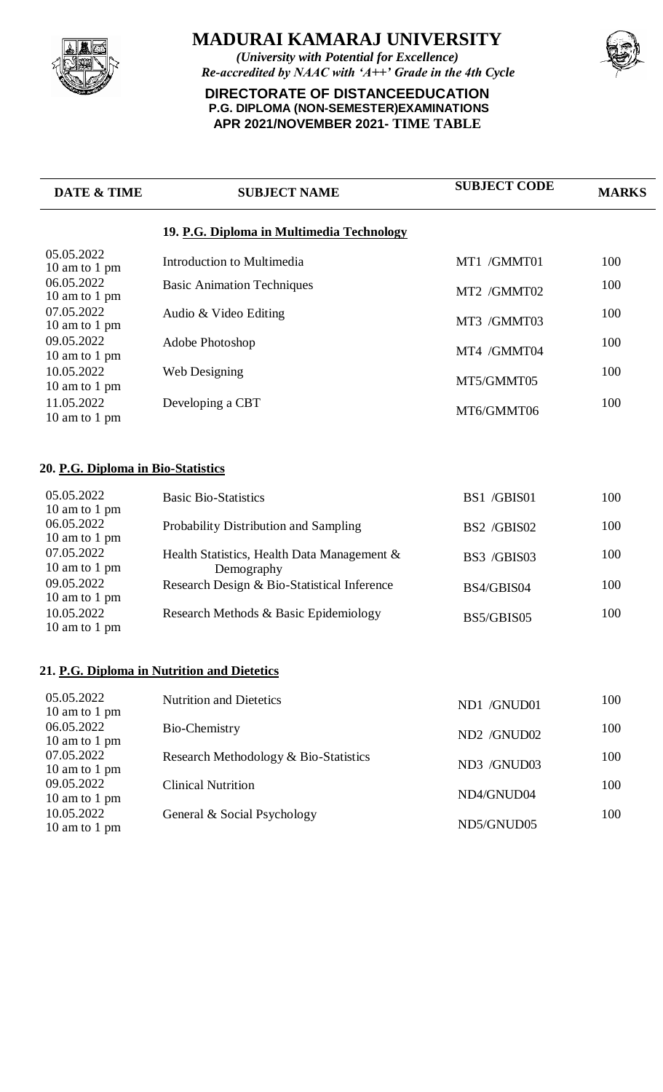

*(University with Potential for Excellence) Re-accredited by NAAC with 'A++' Grade in the 4th Cycle*

## **DIRECTORATE OF DISTANCEEDUCATION P.G. DIPLOMA (NON-SEMESTER)EXAMINATIONS APR 2021/NOVEMBER 2021- TIME TABLE**



| <b>DATE &amp; TIME</b>                       | <b>SUBJECT NAME</b>                                       | <b>SUBJECT CODE</b> | <b>MARKS</b> |
|----------------------------------------------|-----------------------------------------------------------|---------------------|--------------|
|                                              | 19. P.G. Diploma in Multimedia Technology                 |                     |              |
| 05.05.2022<br>10 am to 1 pm                  | Introduction to Multimedia                                | MT1 /GMMT01         | 100          |
| 06.05.2022<br>10 am to 1 pm                  | <b>Basic Animation Techniques</b>                         | MT2 /GMMT02         | 100          |
| 07.05.2022<br>10 am to 1 pm                  | Audio & Video Editing                                     | MT3 /GMMT03         | 100          |
| 09.05.2022<br>10 am to 1 pm                  | Adobe Photoshop                                           | MT4 /GMMT04         | 100          |
| 10.05.2022                                   | Web Designing                                             | MT5/GMMT05          | 100          |
| 10 am to 1 pm<br>11.05.2022<br>10 am to 1 pm | Developing a CBT                                          | MT6/GMMT06          | 100          |
| 20. P.G. Diploma in Bio-Statistics           |                                                           |                     |              |
| 05.05.2022<br>10 am to 1 pm                  | <b>Basic Bio-Statistics</b>                               | BS1 /GBIS01         | 100          |
| 06.05.2022<br>10 am to 1 pm                  | Probability Distribution and Sampling                     | BS2 /GBIS02         | 100          |
| 07.05.2022<br>10 am to 1 pm                  | Health Statistics, Health Data Management &               | BS3 /GBIS03         | 100          |
| 09.05.2022<br>10 am to 1 pm                  | Demography<br>Research Design & Bio-Statistical Inference | BS4/GBIS04          | 100          |
| 10.05.2022<br>10 am to 1 pm                  | Research Methods & Basic Epidemiology                     | BS5/GBIS05          | 100          |
|                                              | 21. P.G. Diploma in Nutrition and Dietetics               |                     |              |
| 05.05.2022<br>10 am to 1 pm                  | <b>Nutrition and Dietetics</b>                            | ND1 /GNUD01         | 100          |
| 06.05.2022<br>10 am to 1 pm                  | Bio-Chemistry                                             | ND2 /GNUD02         | 100          |
| 07.05.2022<br>10 am to 1 pm                  | Research Methodology & Bio-Statistics                     | ND3 /GNUD03         | 100          |
| 09.05.2022<br>10 am to 1 pm                  | <b>Clinical Nutrition</b>                                 | ND4/GNUD04          | 100          |
| 10.05.2022<br>10 am to 1 pm                  | General & Social Psychology                               | ND5/GNUD05          | 100          |
|                                              |                                                           |                     |              |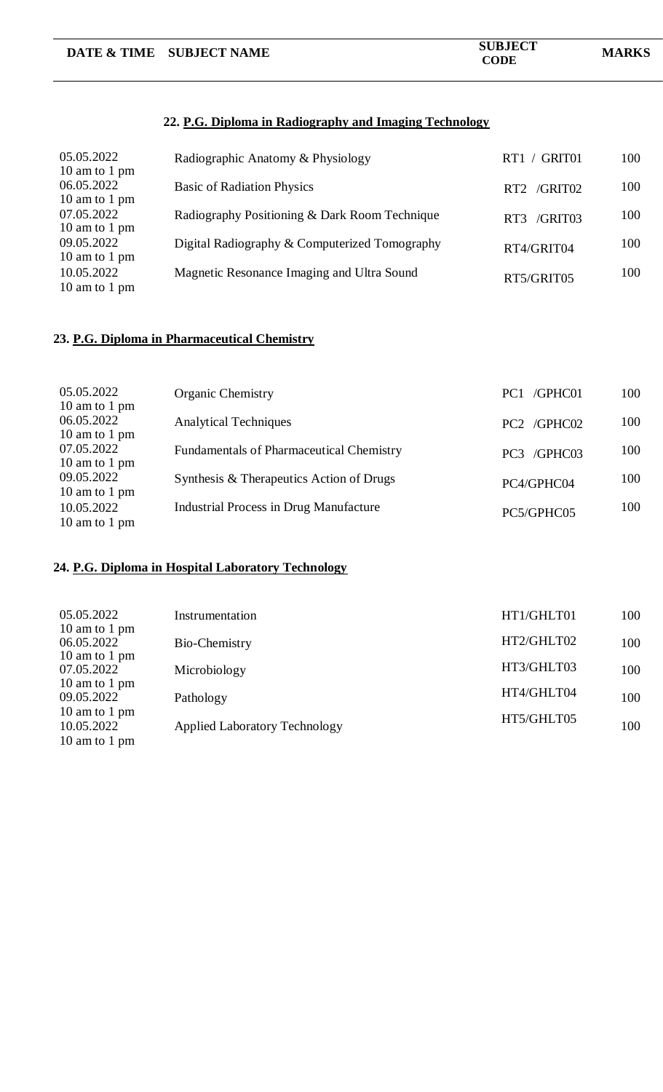|                                              | DATE & TIME SUBJECT NAME                               | <b>SUBJECT</b><br><b>CODE</b> | <b>MARKS</b> |  |
|----------------------------------------------|--------------------------------------------------------|-------------------------------|--------------|--|
|                                              | 22. P.G. Diploma in Radiography and Imaging Technology |                               |              |  |
| 05.05.2022<br>10 am to 1 pm                  | Radiographic Anatomy & Physiology                      | RT1 / GRIT01                  | 100          |  |
| 06.05.2022<br>10 am to 1 pm                  | <b>Basic of Radiation Physics</b>                      | RT2 /GRIT02                   | 100          |  |
| 07.05.2022<br>10 am to 1 pm                  | Radiography Positioning & Dark Room Technique          | RT3 /GRIT03                   | 100          |  |
| 09.05.2022<br>10 am to 1 pm                  | Digital Radiography & Computerized Tomography          | RT4/GRIT04                    | 100          |  |
| 10.05.2022<br>10 am to 1 pm                  | Magnetic Resonance Imaging and Ultra Sound             | RT5/GRIT05                    | 100          |  |
| 23. P.G. Diploma in Pharmaceutical Chemistry |                                                        |                               |              |  |

| 05.05.2022<br>10 am to 1 pm | <b>Organic Chemistry</b>                        | /GPHC01<br>PC <sub>1</sub> | 100 |
|-----------------------------|-------------------------------------------------|----------------------------|-----|
| 06.05.2022<br>10 am to 1 pm | <b>Analytical Techniques</b>                    | PC2 /GPHC02                | 100 |
| 07.05.2022<br>10 am to 1 pm | <b>Fundamentals of Pharmaceutical Chemistry</b> | PC3 /GPHC03                | 100 |
| 09.05.2022<br>10 am to 1 pm | Synthesis & Therapeutics Action of Drugs        | PC4/GPHC04                 | 100 |
| 10.05.2022<br>10 am to 1 pm | <b>Industrial Process in Drug Manufacture</b>   | PC5/GPHC05                 | 100 |

# **24. P.G. Diploma in Hospital Laboratory Technology**

| 05.05.2022<br>10 am to 1 pm                  | Instrumentation                      | HT1/GHLT01 | 100 |
|----------------------------------------------|--------------------------------------|------------|-----|
| 06.05.2022                                   | Bio-Chemistry                        | HT2/GHLT02 | 100 |
| 10 am to 1 pm<br>07.05.2022                  | Microbiology                         | HT3/GHLT03 | 100 |
| 10 am to 1 pm<br>09.05.2022                  | Pathology                            | HT4/GHLT04 | 100 |
| 10 am to 1 pm<br>10.05.2022<br>10 am to 1 pm | <b>Applied Laboratory Technology</b> | HT5/GHLT05 | 100 |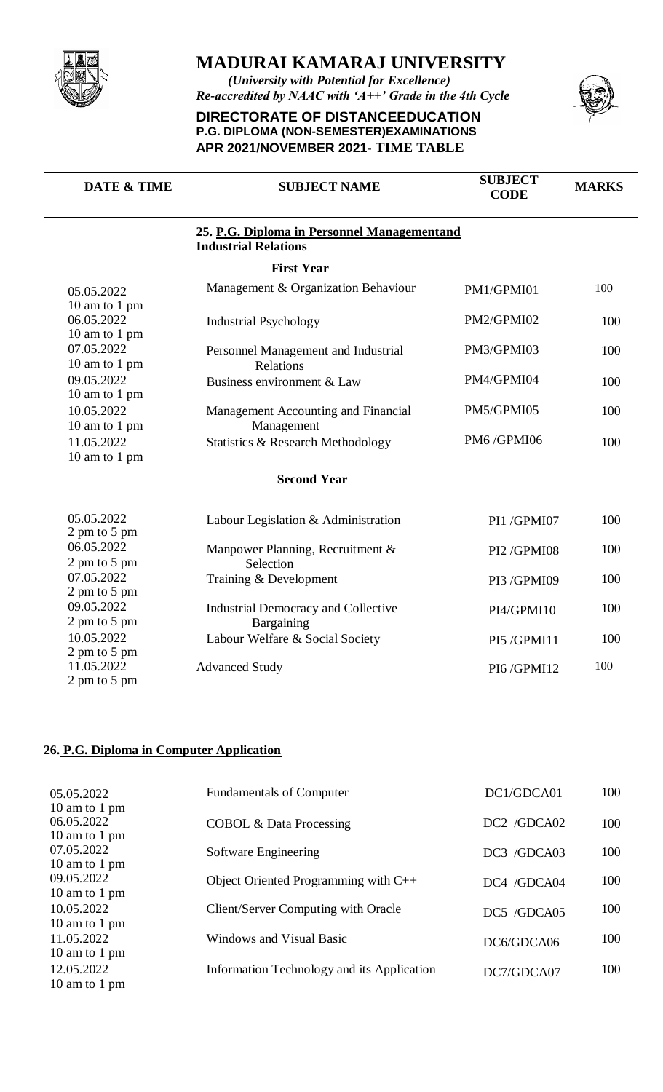

*(University with Potential for Excellence) Re-accredited by NAAC with 'A++' Grade in the 4th Cycle*

#### **DIRECTORATE OF DISTANCEEDUCATION P.G. DIPLOMA (NON-SEMESTER)EXAMINATIONS APR 2021/NOVEMBER 2021- TIME TABLE**



| <b>DATE &amp; TIME</b>               | <b>SUBJECT NAME</b>                                                        | <b>SUBJECT</b><br><b>CODE</b> | <b>MARKS</b> |
|--------------------------------------|----------------------------------------------------------------------------|-------------------------------|--------------|
|                                      | 25. P.G. Diploma in Personnel Managementand<br><b>Industrial Relations</b> |                               |              |
|                                      | <b>First Year</b>                                                          |                               |              |
| 05.05.2022<br>10 am to 1 pm          | Management & Organization Behaviour                                        | PM1/GPMI01                    | 100          |
| 06.05.2022<br>10 am to 1 pm          | <b>Industrial Psychology</b>                                               | PM2/GPMI02                    | 100          |
| 07.05.2022<br>10 am to 1 pm          | Personnel Management and Industrial<br><b>Relations</b>                    | PM3/GPMI03                    | 100          |
| 09.05.2022<br>10 am to 1 pm          | Business environment & Law                                                 | PM4/GPMI04                    | 100          |
| 10.05.2022<br>10 am to 1 pm          | Management Accounting and Financial<br>Management                          | PM5/GPMI05                    | 100          |
| 11.05.2022<br>10 am to 1 pm          | <b>Statistics &amp; Research Methodology</b>                               | PM6/GPMI06                    | 100          |
|                                      | <b>Second Year</b>                                                         |                               |              |
| 05.05.2022<br>$2 \text{ pm}$ to 5 pm | Labour Legislation & Administration                                        | PI1/GPMI07                    | 100          |
| 06.05.2022<br>2 pm to 5 pm           | Manpower Planning, Recruitment &<br>Selection                              | PI2/GPMI08                    | 100          |
| 07.05.2022<br>2 pm to 5 pm           | Training & Development                                                     | PI3 /GPMI09                   | 100          |
| 09.05.2022<br>2 pm to 5 pm           | Industrial Democracy and Collective<br>Bargaining                          | PI4/GPMI10                    | 100          |
| 10.05.2022<br>2 pm to 5 pm           | Labour Welfare & Social Society                                            | PI5/GPMI11                    | 100          |
| 11.05.2022<br>$2 \text{ pm}$ to 5 pm | <b>Advanced Study</b>                                                      | PI6/GPMI12                    | 100          |

#### **26. P.G. Diploma in Computer Application**

| 05.05.2022<br>10 am to 1 pm | <b>Fundamentals of Computer</b>            | DC1/GDCA01  | 100 |
|-----------------------------|--------------------------------------------|-------------|-----|
| 06.05.2022<br>10 am to 1 pm | <b>COBOL &amp; Data Processing</b>         | DC2 /GDCA02 | 100 |
| 07.05.2022<br>10 am to 1 pm | Software Engineering                       | DC3 /GDCA03 | 100 |
| 09.05.2022<br>10 am to 1 pm | Object Oriented Programming with C++       | DC4 /GDCA04 | 100 |
| 10.05.2022<br>10 am to 1 pm | Client/Server Computing with Oracle        | DC5 /GDCA05 | 100 |
| 11.05.2022<br>10 am to 1 pm | Windows and Visual Basic                   | DC6/GDCA06  | 100 |
| 12.05.2022<br>10 am to 1 pm | Information Technology and its Application | DC7/GDCA07  | 100 |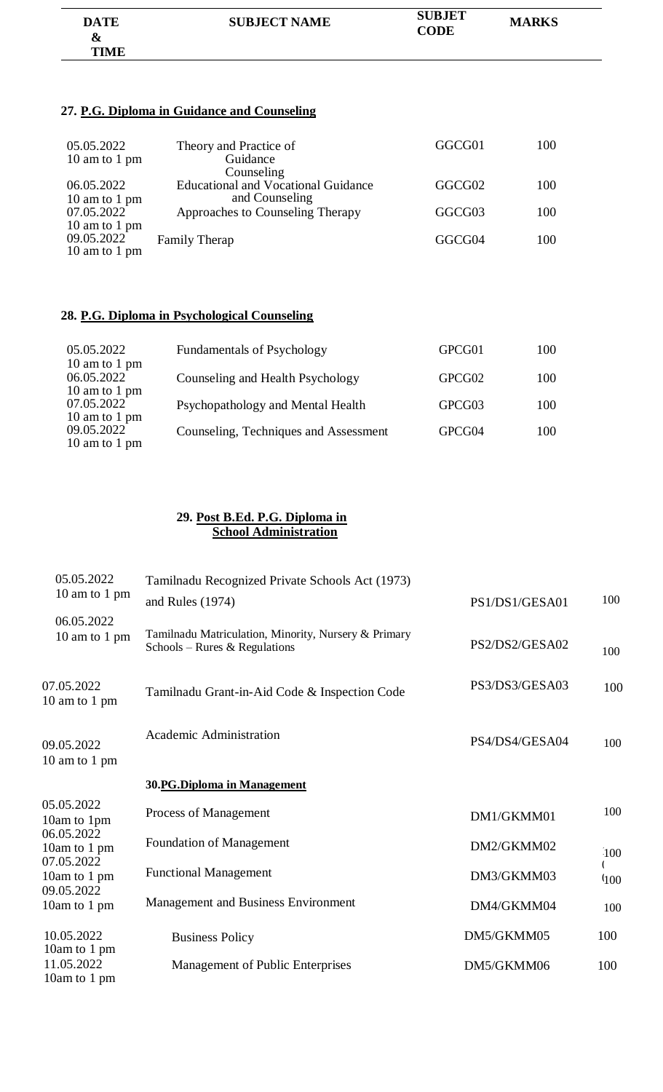| <b>DATE</b><br>& | <b>SUBJECT NAME</b> | <b>SUBJET</b><br><b>CODE</b> | <b>MARKS</b> |
|------------------|---------------------|------------------------------|--------------|
| TIME             |                     |                              |              |

### **27. P.G. Diploma in Guidance and Counseling**

| 05.05.2022<br>10 am to 1 pm | Theory and Practice of<br>Guidance<br>Counseling             | GGCG01 | 100 |
|-----------------------------|--------------------------------------------------------------|--------|-----|
| 06.05.2022<br>10 am to 1 pm | <b>Educational and Vocational Guidance</b><br>and Counseling | GGCG02 | 100 |
| 07.05.2022<br>10 am to 1 pm | Approaches to Counseling Therapy                             | GGCG03 | 100 |
| 09.05.2022<br>10 am to 1 pm | <b>Family Therap</b>                                         | GGCG04 | 100 |

### **28. P.G. Diploma in Psychological Counseling**

| 05.05.2022<br>10 am to 1 pm                  | <b>Fundamentals of Psychology</b>     | GPCG01 | 100 |
|----------------------------------------------|---------------------------------------|--------|-----|
| 06.05.2022<br>10 am to 1 pm                  | Counseling and Health Psychology      | GPCG02 | 100 |
| 07.05.2022                                   | Psychopathology and Mental Health     | GPCG03 | 100 |
| 10 am to 1 pm<br>09.05.2022<br>10 am to 1 pm | Counseling, Techniques and Assessment | GPCG04 | 100 |

#### **29. Post B.Ed. P.G. Diploma in School Administration**

| 05.05.2022                  | Tamilnadu Recognized Private Schools Act (1973)                                       |                |               |
|-----------------------------|---------------------------------------------------------------------------------------|----------------|---------------|
| 10 am to 1 pm               | and Rules $(1974)$                                                                    | PS1/DS1/GESA01 | 100           |
| 06.05.2022<br>10 am to 1 pm | Tamilnadu Matriculation, Minority, Nursery & Primary<br>Schools – Rures & Regulations | PS2/DS2/GESA02 | 100           |
| 07.05.2022<br>10 am to 1 pm | Tamilnadu Grant-in-Aid Code & Inspection Code                                         | PS3/DS3/GESA03 | 100           |
| 09.05.2022<br>10 am to 1 pm | Academic Administration                                                               | PS4/DS4/GESA04 | 100           |
|                             | 30.PG.Diploma in Management                                                           |                |               |
| 05.05.2022<br>10am to 1pm   | Process of Management                                                                 | DM1/GKMM01     | 100           |
| 06.05.2022<br>10am to 1 pm  | <b>Foundation of Management</b>                                                       | DM2/GKMM02     | 100           |
| 07.05.2022<br>10am to 1 pm  | <b>Functional Management</b>                                                          | DM3/GKMM03     | $400^{\circ}$ |
| 09.05.2022<br>10am to 1 pm  | Management and Business Environment                                                   | DM4/GKMM04     | 100           |
| 10.05.2022<br>10am to 1 pm  | <b>Business Policy</b>                                                                | DM5/GKMM05     | 100           |
| 11.05.2022<br>10am to 1 pm  | Management of Public Enterprises                                                      | DM5/GKMM06     | 100           |
|                             |                                                                                       |                |               |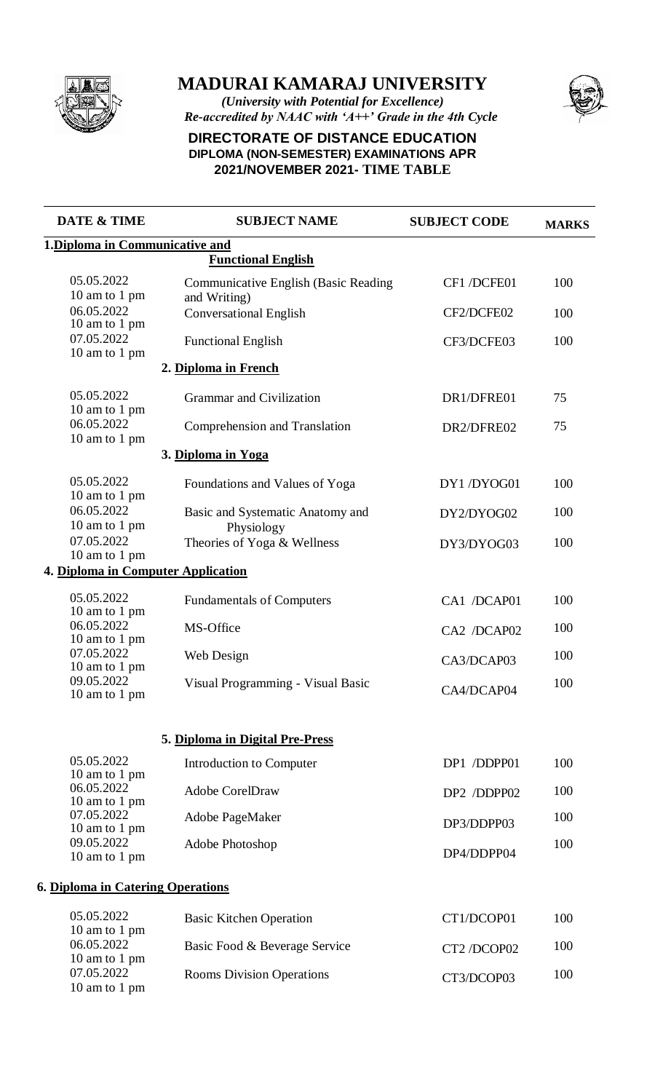

*(University with Potential for Excellence) Re-accredited by NAAC with 'A++' Grade in the 4th Cycle*



## **DIRECTORATE OF DISTANCE EDUCATION DIPLOMA (NON-SEMESTER) EXAMINATIONS APR 2021/NOVEMBER 2021- TIME TABLE**

| <b>DATE &amp; TIME</b>             | <b>SUBJECT NAME</b>                                         | <b>SUBJECT CODE</b> | <b>MARKS</b> |  |
|------------------------------------|-------------------------------------------------------------|---------------------|--------------|--|
| 1. Diploma in Communicative and    |                                                             |                     |              |  |
|                                    | <b>Functional English</b>                                   |                     |              |  |
| 05.05.2022<br>10 am to 1 pm        | <b>Communicative English (Basic Reading</b><br>and Writing) | CF1 /DCFE01         | 100          |  |
| 06.05.2022<br>10 am to 1 pm        | <b>Conversational English</b>                               | CF2/DCFE02          | 100          |  |
| 07.05.2022<br>10 am to 1 pm        | <b>Functional English</b>                                   | CF3/DCFE03          | 100          |  |
|                                    | 2. Diploma in French                                        |                     |              |  |
| 05.05.2022<br>10 am to 1 pm        | Grammar and Civilization                                    | DR1/DFRE01          | 75           |  |
| 06.05.2022<br>10 am to 1 pm        | Comprehension and Translation                               | DR2/DFRE02          | 75           |  |
|                                    | 3. Diploma in Yoga                                          |                     |              |  |
| 05.05.2022<br>10 am to 1 pm        | Foundations and Values of Yoga                              | DY1/DYOG01          | 100          |  |
| 06.05.2022<br>10 am to 1 pm        | Basic and Systematic Anatomy and<br>Physiology              | DY2/DYOG02          | 100          |  |
| 07.05.2022<br>10 am to 1 pm        | Theories of Yoga & Wellness                                 | DY3/DYOG03          | 100          |  |
| 4. Diploma in Computer Application |                                                             |                     |              |  |
| 05.05.2022<br>10 am to 1 pm        | <b>Fundamentals of Computers</b>                            | CA1 /DCAP01         | 100          |  |
| 06.05.2022<br>10 am to 1 pm        | MS-Office                                                   | CA2 /DCAP02         | 100          |  |
| 07.05.2022<br>10 am to 1 pm        | Web Design                                                  | CA3/DCAP03          | 100          |  |
| 09.05.2022<br>10 am to 1 pm        | Visual Programming - Visual Basic                           | CA4/DCAP04          | 100          |  |
|                                    | 5. Diploma in Digital Pre-Press                             |                     |              |  |
| 05.05.2022<br>10 am to 1 pm        | Introduction to Computer                                    | DP1 /DDPP01         | 100          |  |
| 06.05.2022<br>10 am to 1 pm        | <b>Adobe CorelDraw</b>                                      | DP2 /DDPP02         | 100          |  |
| 07.05.2022<br>10 am to 1 pm        | Adobe PageMaker                                             | DP3/DDPP03          | 100          |  |
| 09.05.2022<br>10 am to 1 pm        | Adobe Photoshop                                             | DP4/DDPP04          | 100          |  |
| 6. Diploma in Catering Operations  |                                                             |                     |              |  |
| 05.05.2022<br>10 am to 1 pm        | <b>Basic Kitchen Operation</b>                              | CT1/DCOP01          | 100          |  |
| 06.05.2022<br>10 am to 1 pm        | Basic Food & Beverage Service                               | CT2 /DCOP02         | 100          |  |
| 07.05.2022<br>10 am to 1 pm        | <b>Rooms Division Operations</b>                            | CT3/DCOP03          | 100          |  |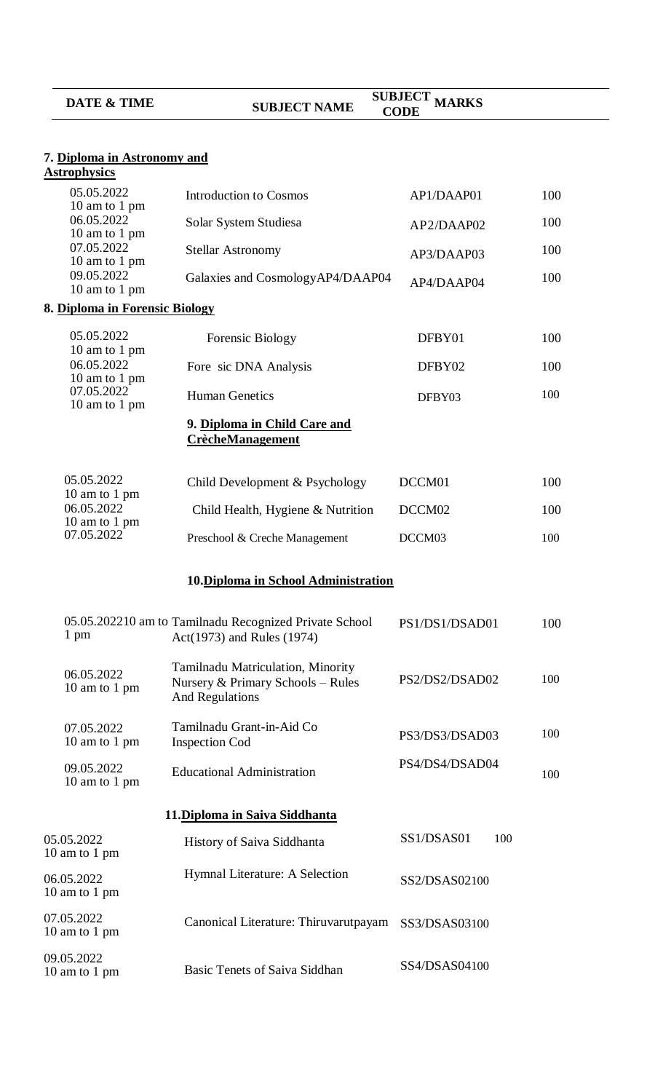| <b>DATE &amp; TIME</b>                                     | <b>SUBJECT NAME</b>                                                                              | <b>SUBJECT MARKS</b><br><b>CODE</b> |     |
|------------------------------------------------------------|--------------------------------------------------------------------------------------------------|-------------------------------------|-----|
| 7. Diploma in Astronomy and                                |                                                                                                  |                                     |     |
| <b>Astrophysics</b>                                        |                                                                                                  |                                     |     |
| 05.05.2022<br>10 am to 1 pm<br>06.05.2022<br>10 am to 1 pm | <b>Introduction to Cosmos</b>                                                                    | AP1/DAAP01                          | 100 |
|                                                            | Solar System Studiesa                                                                            | AP2/DAAP02                          | 100 |
| 07.05.2022<br>10 am to 1 pm                                | <b>Stellar Astronomy</b>                                                                         | AP3/DAAP03                          | 100 |
| 09.05.2022<br>10 am to 1 pm                                | Galaxies and CosmologyAP4/DAAP04                                                                 | AP4/DAAP04                          | 100 |
| 8. Diploma in Forensic Biology                             |                                                                                                  |                                     |     |
| 05.05.2022                                                 | Forensic Biology                                                                                 | DFBY01                              | 100 |
| 10 am to 1 pm<br>06.05.2022                                | Fore sic DNA Analysis                                                                            | DFBY02                              | 100 |
| 10 am to 1 pm<br>07.05.2022<br>10 am to 1 pm               | <b>Human Genetics</b>                                                                            | DFBY03                              | 100 |
|                                                            | 9. Diploma in Child Care and<br><b>CrècheManagement</b>                                          |                                     |     |
| 05.05.2022                                                 | Child Development & Psychology                                                                   | DCCM01                              | 100 |
| 10 am to 1 pm<br>06.05.2022<br>10 am to 1 pm               | Child Health, Hygiene & Nutrition                                                                | DCCM02                              | 100 |
| 07.05.2022                                                 | Preschool & Creche Management                                                                    | DCCM03                              | 100 |
|                                                            | 10. Diploma in School Administration                                                             |                                     |     |
|                                                            |                                                                                                  |                                     |     |
| 1 pm                                                       | 05.05.202210 am to Tamilnadu Recognized Private School<br>Act(1973) and Rules (1974)             | PS1/DS1/DSAD01                      | 100 |
| 06.05.2022<br>10 am to 1 pm                                | Tamilnadu Matriculation, Minority<br>Nursery & Primary Schools - Rules<br><b>And Regulations</b> | PS2/DS2/DSAD02                      | 100 |
| 07.05.2022<br>10 am to 1 pm                                | Tamilnadu Grant-in-Aid Co<br><b>Inspection Cod</b>                                               | PS3/DS3/DSAD03                      | 100 |
| 09.05.2022<br>10 am to 1 pm                                | <b>Educational Administration</b>                                                                | PS4/DS4/DSAD04                      | 100 |
|                                                            | 11. Diploma in Saiva Siddhanta                                                                   |                                     |     |
| 05.05.2022<br>10 am to 1 pm                                | History of Saiva Siddhanta                                                                       | SS1/DSAS01<br>100                   |     |
| 06.05.2022<br>10 am to 1 pm                                | Hymnal Literature: A Selection                                                                   | SS2/DSAS02100                       |     |
| 07.05.2022<br>10 am to 1 pm                                | Canonical Literature: Thiruvarutpayam                                                            | SS3/DSAS03100                       |     |
| 09.05.2022<br>10 am to 1 pm                                | Basic Tenets of Saiva Siddhan                                                                    | SS4/DSAS04100                       |     |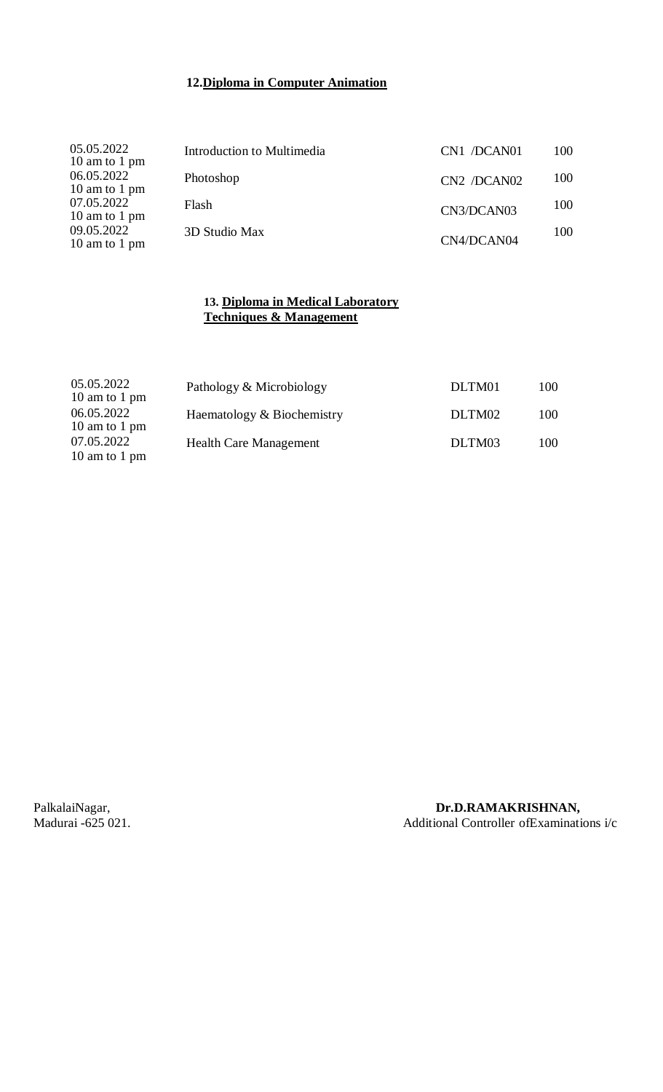## **12.Diploma in Computer Animation**

| 05.05.2022<br>10 am to 1 pm | Introduction to Multimedia | CN1 /DCAN01 | 100 |
|-----------------------------|----------------------------|-------------|-----|
| 06.05.2022<br>10 am to 1 pm | Photoshop                  | CN2 /DCAN02 | 100 |
| 07.05.2022<br>10 am to 1 pm | Flash                      | CN3/DCAN03  | 100 |
| 09.05.2022<br>10 am to 1 pm | 3D Studio Max              | CN4/DCAN04  | 100 |

#### **13. Diploma in Medical Laboratory Techniques & Management**

| 05.05.2022<br>10 am to 1 pm | Pathology & Microbiology      | DLTM01 | 100 |
|-----------------------------|-------------------------------|--------|-----|
| 06.05.2022<br>10 am to 1 pm | Haematology & Biochemistry    | DLTM02 | 100 |
| 07.05.2022<br>10 am to 1 pm | <b>Health Care Management</b> | DLTM03 | 100 |

### PalkalaiNagar, **Dr.D.RAMAKRISHNAN, Dr.D.RAMAKRISHNAN, Dr.D.RAMAKRISHNAN**, **Madurai** -625 021. Additional Controller ofExaminations i/c